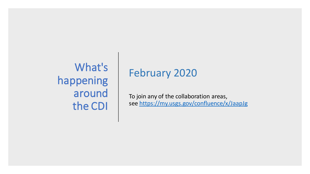What's happening around the CDI

# February 2020

To join any of the collaboration areas, see <https://my.usgs.gov/confluence/x/JaapJg>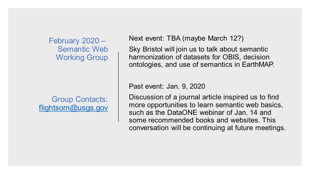February 2020 – Semantic Web Working Group

Group Contacts: [flightsom@usgs.gov](mailto:flightsom@usgs.gov) Next event: TBA (maybe March 12?)

Sky Bristol will join us to talk about semantic harmonization of datasets for OBIS, decision ontologies, and use of semantics in EarthMAP.

Past event: Jan. 9, 2020

Discussion of a journal article inspired us to find more opportunities to learn semantic web basics, such as the DataONE webinar of Jan. 14 and some recommended books and websites. This conversation will be continuing at future meetings.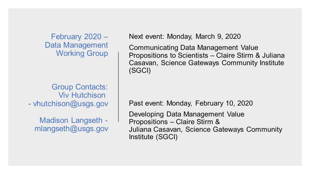February 2020 – Data Management Working Group

Group Contacts: Viv Hutchison - vhutchison@usgs.gov

Madison Langseth mlangseth@usgs.gov Next event: Monday, March 9, 2020

Communicating Data Management Value Propositions to Scientists – Claire Stirm & Juliana Casavan, Science Gateways Community Institute (SGCI)

Past event: Monday, February 10, 2020

Developing Data Management Value Propositions – Claire Stirm & Juliana Casavan, Science Gateways Community Institute (SGCI)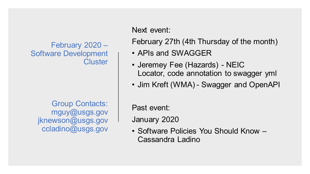February 2020 – Software Development **Cluster** 

Group Contacts: mguy@usgs.gov jknewson@usgs.gov ccladino@usgs.gov

Next event:

February 27th (4th Thursday of the month)

- APIs and SWAGGER
- Jeremey Fee (Hazards) NEIC Locator, code annotation to swagger yml
- Jim Kreft (WMA) Swagger and OpenAPI

Past event:

January 2020

• Software Policies You Should Know – Cassandra Ladino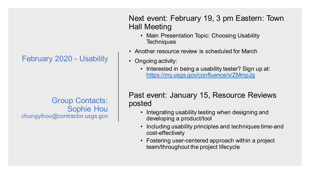## February 2020 - Usability

Group Contacts: Sophie Hou chungyihou@contractor.usgs.gov Next event: February 19, 3 pm Eastern: Town Hall Meeting

- Main Presentation Topic: Choosing Usability **Techniques**
- Another resource review is scheduled for March
- Ongoing activity:
	- Interested in being a usability tester? Sign up at: <https://my.usgs.gov/confluence/x/ZMmpJg>

Past event: January 15, Resource Reviews posted

- Integrating usability testing when designing and developing a product/tool
- Including usability principles and techniques time-and cost-effectively
- Fostering user-centered approach within a project team/throughout the project lifecycle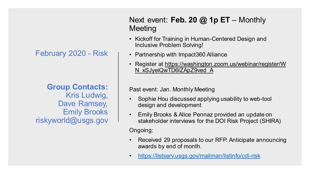February 2020 - Risk

**Group Contacts:** Kris Ludwig, Dave Ramsey, Emily Brooks riskyworld@usgs.gov

Next event: Feb. 20 @ 1p ET – Monthly **Meeting** 

- Kickoff for Training in Human-Centered Design and Inclusive Problem Solving!
- Partnership with Impact360 Alliance
- Register at https://washington.zoom.us/webinar/register/W N\_xSJyeiQwTD6lZApZ9ved\_A

#### Past event: Jan. Monthly Meeting

- Sophie Hou discussed applying usability to web-tool design and development
- Emily Brooks & Alice Pennaz provided an update on stakeholder interviews for the DOI Risk Project (SHIRA)

Ongoing:

- Received 29 proposals to our RFP. Anticipate announcing awards by end of month.
- <https://listserv.usgs.gov/mailman/listinfo/cdi-risk>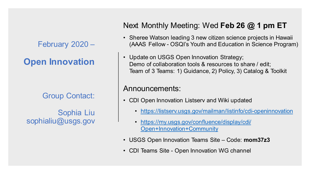February 2020 –

**Open Innovation**

Group Contact:

Sophia Liu sophialiu@usgs.gov

# Next Monthly Meeting: Wed **Feb 26 @ 1 pm ET**

- Sheree Watson leading 3 new citizen science projects in Hawaii (AAAS Fellow - OSQI's Youth and Education in Science Program)
- Update on USGS Open Innovation Strategy; Demo of collaboration tools & resources to share / edit; Team of 3 Teams: 1) Guidance, 2) Policy, 3) Catalog & Toolkit

## Announcements:

- CDI Open Innovation Listserv and Wiki updated
	- <https://listserv.usgs.gov/mailman/listinfo/cdi-openinnovation>
	- [https://my.usgs.gov/confluence/display/cdi/](https://my.usgs.gov/confluence/display/cdi/Open+Innovation+Community) Open+Innovation+Community
- USGS Open Innovation Teams Site Code: **mom37z3**
- CDI Teams Site Open Innovation WG channel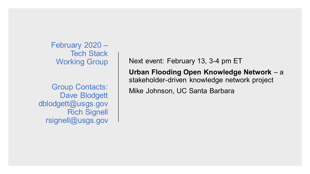February 2020 – Tech Stack Working Group

Group Contacts: Dave Blodgett dblodgett@usgs.gov Rich Signell rsignell@usgs.gov Next event: February 13, 3-4 pm ET

**Urban Flooding Open Knowledge Network** – a stakeholder-driven knowledge network project

Mike Johnson, UC Santa Barbara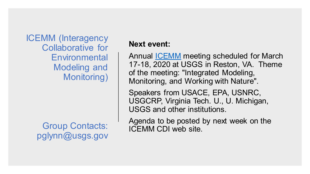ICEMM (Interagency Collaborative for **Environmental** Modeling and Monitoring)

> Group Contacts: pglynn@usgs.gov

## **Next event:**

Annual [ICEMM](https://my.usgs.gov/confluence/display/cdi/Interagency+Collaborative+for+Environmental+Modeling+and+Monitoring) meeting scheduled for March 17-18, 2020 at USGS in Reston, VA. Theme of the meeting: "Integrated Modeling, Monitoring, and Working with Nature".

Speakers from USACE, EPA, USNRC, USGCRP, Virginia Tech. U., U. Michigan, USGS and other institutions.

Agenda to be posted by next week on the ICEMM CDI web site.